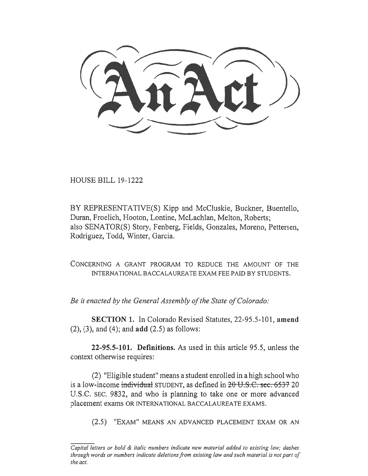HOUSE BILL 19-1222

BY REPRESENTATIVE(S) Kipp and McCluskie, Buckner, Buentello, Duran, Froelich, Hooton, Lontine, McLachlan, Melton, Roberts; also SENATOR(S) Story, Fenberg, Fields, Gonzales, Moreno, Pettersen, Rodriguez, Todd, Winter, Garcia.

CONCERNING A GRANT PROGRAM TO REDUCE THE AMOUNT OF THE INTERNATIONAL BACCALAUREATE EXAM FEE PAID BY STUDENTS.

*Be it enacted by the General Assembly of the State of Colorado:* 

**SECTION 1.** In Colorado Revised Statutes, 22-95.5-101, **amend**  (2), (3), and (4); and **add** (2.5) as follows:

**22-95.5-101. Definitions.** As used in this article 95.5, unless the context otherwise requires:

(2) "Eligible student" means a student enrolled in a high school who is a low-income individual STUDENT, as defined in 20 U.S.C. sec. 6537 20 U.S.C. SEC. 9832, and who is planning to take one or more advanced placement exams OR INTERNATIONAL BACCALAUREATE EXAMS.

(2.5) "EXAM" MEANS AN ADVANCED PLACEMENT EXAM OR AN

*Capital letters or bold & italic numbers indicate new material added to existing law; dashes through words or numbers indicate deletions from existing law and such material is not part of the act.*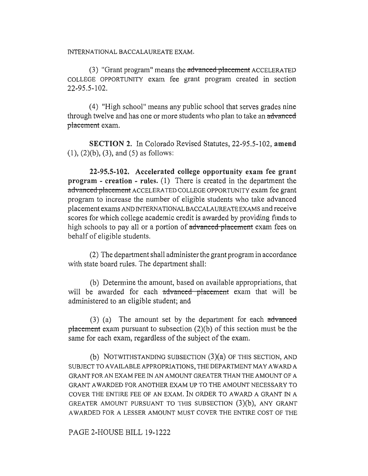INTERNATIONAL BACCALAUREATE EXAM.

**(3) "Grant program" means the advanced-placement** ACCELERATED COLLEGE OPPORTUNITY exam fee grant program created in section 22-95.5-102.

(4) "High school" means any public school that serves grades nine through twelve and has one or more students who **plan to take an advanced**  placement exam.

**SECTION 2.** In Colorado Revised Statutes, 22-95.5-102, **amend**  (1), (2)(b), (3), and (5) as follows:

**22-95.5-102. Accelerated college opportunity exam fee grant program - creation - rules.** (1) There is created in the department the advanced placement ACCELERATED COLLEGE OPPORTUNITY exam fee grant program to increase the number of eligible students who take advanced placement exams AND INTERNATIONAL BACCALAUREATE EXAMS and receive scores for which college academic credit is awarded by providing funds to high schools to pay all or a portion of advanced placement exam fees on behalf of eligible students.

(2) The department shall administer the grant program in accordance with state board rules. The department shall:

(b) Determine the amount, based on available appropriations, that will be awarded for each advanced placement exam that will be administered to an eligible student; and

 $(3)$  (a) The amount set by the department for each advanced placement exam pursuant to subsection  $(2)(b)$  of this section must be the same for each exam, regardless of the subject of the exam.

**(b)** NOTWITHSTANDING SUBSECTION (3)(a) OF THIS SECTION, AND SUBJECT TO AVAILABLE APPROPRIATIONS, THE DEPARTMENT MAY AWARD A GRANT FOR AN EXAM FEE IN AN AMOUNT GREATER THAN THE AMOUNT OF A GRANT AWARDED FOR ANOTHER EXAM UP TO THE AMOUNT NECESSARY TO COVER THE ENTIRE FEE OF AN EXAM. IN ORDER TO AWARD A GRANT IN A GREATER AMOUNT PURSUANT TO THIS SUBSECTION (3)(b), ANY GRANT AWARDED FOR A LESSER AMOUNT MUST COVER THE ENTIRE COST OF THE

PAGE 2-HOUSE BILL 19-1222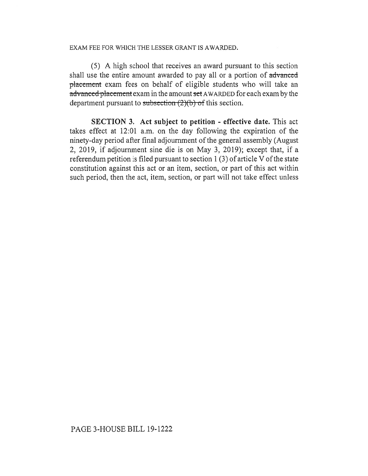## EXAM FEE FOR WHICH THE LESSER GRANT IS AWARDED.

(5) A high school that receives an award pursuant to this section shall use the entire amount awarded to pay all or a portion of advanced placement exam fees on behalf of eligible students who will take an advanced placement exam in the amount set AWARDED for each exam by the department pursuant to subsection  $(2)(b)$  of this section.

**SECTION 3. Act subject to petition - effective date.** This act takes effect at 12:01 a.m. on the day following the expiration of the ninety-day period after final adjournment of the general assembly (August 2, 2019, if adjournment sine die is on May 3, 2019); except that, if a referendum petition is filed pursuant to section 1 (3) of article V of the state constitution against this act or an item, section, or part of this act within such period, then the act, item, section, or part will not take effect unless